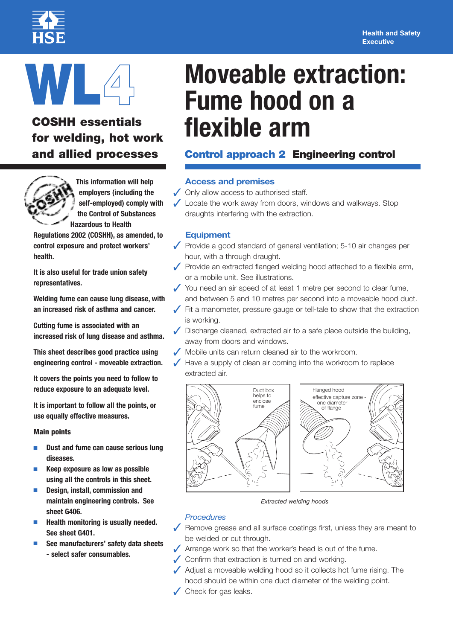#### **Health and Safety Executive**



# **WL4**

## **COSHH essentials for welding, hot work and allied processes**



**This information will help employers (including the self-employed) comply with the Control of Substances Hazardous to Health**

**Regulations 2002 (COSHH), as amended, to control exposure and protect workers' health.**

**It is also useful for trade union safety representatives.**

**Welding fume can cause lung disease, with an increased risk of asthma and cancer.**

**Cutting fume is associated with an increased risk of lung disease and asthma.**

**This sheet describes good practice using engineering control - moveable extraction.**

**It covers the points you need to follow to reduce exposure to an adequate level.**

**It is important to follow all the points, or use equally effective measures.**

#### **Main points**

- **■ Dust and fume can cause serious lung diseases.**
- **■ Keep exposure as low as possible using all the controls in this sheet.**
- **■ Design, install, commission and maintain engineering controls. See sheet G406.**
- **■ Health monitoring is usually needed. See sheet G401.**
- **■ See manufacturers' safety data sheets - select safer consumables.**

# **Moveable extraction: Fume hood on a flexible arm**

### **Control approach 2 Engineering control**

#### **Access and premises**

- **✓** Only allow access to authorised staff.
- **✓** Locate the work away from doors, windows and walkways. Stop draughts interfering with the extraction.

#### **Equipment**

- **✓** Provide <sup>a</sup> good standard of general ventilation; 5-10 air changes per hour, with a through draught.
- **✓** Provide an extracted flanged welding hood attached to <sup>a</sup> flexible arm, or a mobile unit. See illustrations.
- **✓** You need an air speed of at least <sup>1</sup> metre per second to clear fume, and between 5 and 10 metres per second into a moveable hood duct.
- **✓** Fit <sup>a</sup> manometer, pressure gauge or tell-tale to show that the extraction is working.
- **✓** Discharge cleaned, extracted air to <sup>a</sup> safe place outside the building, away from doors and windows.
- **✓** Mobile units can return cleaned air to the workroom.
- Have a supply of clean air coming into the workroom to replace extracted air.





*Extracted welding hoods*

#### *Procedures*

- **✓** Remove grease and all surface coatings first, unless they are meant to be welded or cut through.
- **✓** Arrange work so that the worker's head is out of the fume.
- **✓** Confirm that extraction is turned on and working.
- **✓** Adjust <sup>a</sup> moveable welding hood so it collects hot fume rising. The hood should be within one duct diameter of the welding point.
- **✓** Check for gas leaks.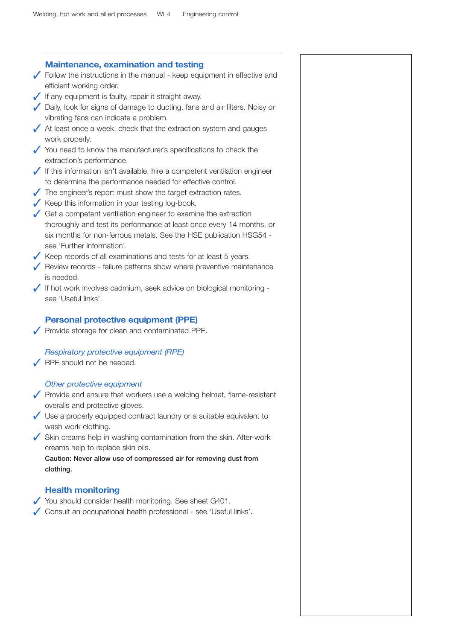| <b>Maintenance, examination and testing</b>                                                  |
|----------------------------------------------------------------------------------------------|
| $\sqrt{\phantom{a}}$ Follow the instructions in the manual - keep equipment in effective and |
| efficient working order.                                                                     |
| If any equipment is faulty, repair it straight away.                                         |
| Daily, look for signs of damage to ducting, fans and air filters. Noisy or                   |
| vibrating fans can indicate a problem.                                                       |
| $\sqrt{\phantom{a}}$ At least once a week, check that the extraction system and gauges       |
| work properly.                                                                               |
|                                                                                              |
| $\checkmark$ You need to know the manufacturer's specifications to check the                 |
| extraction's performance.                                                                    |
| If this information isn't available, hire a competent ventilation engineer                   |
| to determine the performance needed for effective control.                                   |
| The engineer's report must show the target extraction rates.                                 |
| Keep this information in your testing log-book.                                              |
| $\sqrt{\phantom{a}}$ Get a competent ventilation engineer to examine the extraction          |
| thoroughly and test its performance at least once every 14 months, or                        |
| six months for non-ferrous metals. See the HSE publication HSG54 -                           |
| see 'Further information'.                                                                   |
| $\sqrt{\ }$ Keep records of all examinations and tests for at least 5 years.                 |
| Review records - failure patterns show where preventive maintenance                          |
| is needed.                                                                                   |
| If hot work involves cadmium, seek advice on biological monitoring -                         |
| see 'Useful links'.                                                                          |
| Respiratory protective equipment (RPE)<br>RPE should not be needed.                          |
|                                                                                              |
| Other protective equipment                                                                   |
| ✔ Provide and ensure that workers use a welding helmet, flame-resistant                      |
| overalls and protective gloves.                                                              |
| Use a properly equipped contract laundry or a suitable equivalent to                         |
| wash work clothing.                                                                          |
| Skin creams help in washing contamination from the skin. After-work                          |
| creams help to replace skin oils.                                                            |
| Caution: Never allow use of compressed air for removing dust from                            |
| clothing.                                                                                    |
|                                                                                              |
| <b>Health monitoring</b>                                                                     |
| You should consider health monitoring. See sheet G401.                                       |
| Consult an occupational health professional - see 'Useful links'.                            |
|                                                                                              |
|                                                                                              |
|                                                                                              |
|                                                                                              |